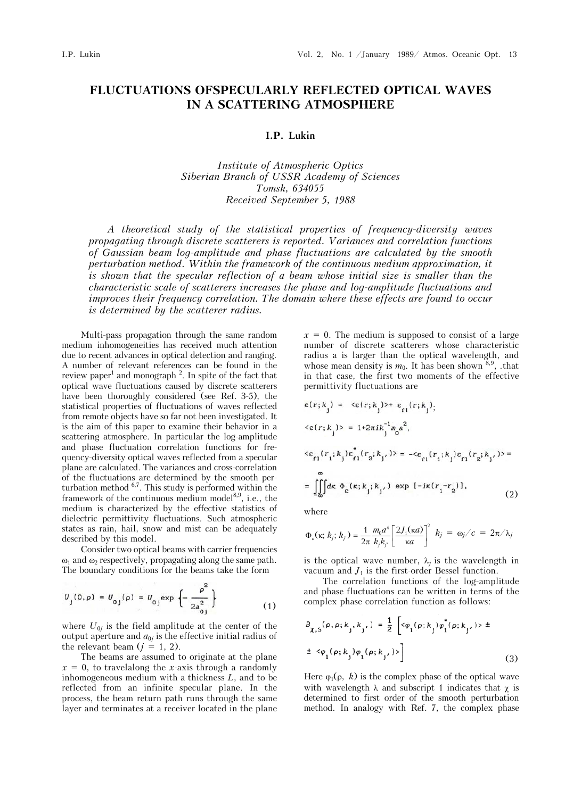## **FLUCTUATIONS OFSPECULARLY REFLECTED OPTICAL WAVES IN A SCATTERING ATMOSPHERE**

## **I.P. Lukin**

*Institute of Atmospheric Optics Siberian Branch of USSR Academy of Sciences Tomsk, 634055 Received September 5, 1988* 

*A theoretical study of the statistical properties of frequency-diversity waves propagating through discrete scatterers is reported. Variances and correlation functions of Gaussian beam log-amplitude and phase fluctuations are calculated by the smooth perturbation method.* Within the framework of the continuous medium approximation, it is shown that the specular reflection of a beam whose initial size is smaller than the *characteristic scale of scatterers increases the phase and log-amplitude fluctuations and improves their frequency correlation. The domain where these effects are found to occur is determined by the scatterer radius.* 

Multi-pass propagation through the same random medium inhomogeneities has received much attention due to recent advances in optical detection and ranging. A number of relevant references can be found in the review paper<sup>1</sup> and monograph<sup>2</sup>. In spite of the fact that optical wave fluctuations caused by discrete scatterers have been thoroughly considered (see Ref. 3-5), the statistical properties of fluctuations of waves reflected from remote objects have so far not been investigated. It is the aim of this paper to examine their behavior in a scattering atmosphere. In particular the log-amplitude and phase fluctuation correlation functions for frequency-diversity optical waves reflected from a specular plane are calculated. The variances and cross-correlation of the fluctuations are determined by the smooth perturbation method 6,7. This study is performed within the framework of the continuous medium model $8,9$ , i.e., the medium is characterized by the effective statistics of dielectric permittivity fluctuations. Such atmospheric states as rain, hail, snow and mist can be adequately described by this model.

Consider two optical beams with carrier frequencies  $\omega_1$  and  $\omega_2$  respectively, propagating along the same path. The boundary conditions for the beams take the form

$$
U_j(0,\rho) = U_{0j}(\rho) = U_{0j} \exp \left\{-\frac{\rho^2}{2a_{0j}^2}\right\}
$$
 (1)

where  $U_{0j}$  is the field amplitude at the center of the output aperture and  $a_{0j}$  is the effective initial radius of the relevant beam  $(j = 1, 2)$ .

The beams are assumed to originate at the plane  $x = 0$ , to travelalong the *x*-axis through a randomly inhomogeneous medium with a thickness *L*, and to be reflected from an infinite specular plane. In the process, the beam return path runs through the same layer and terminates at a receiver located in the plane  $x = 0$ . The medium is supposed to consist of a large number of discrete scatterers whose characteristic radius a is larger than the optical wavelength, and whose mean density is  $m_0$ . It has been shown  $8.9$ , that in that case, the first two moments of the effective permittivity fluctuations are

$$
\varepsilon(r; k_{j}) = \langle \varepsilon(r; k_{j}) \rangle + \varepsilon_{r_{1}}(r; k_{j}),
$$
  
\n
$$
\langle \varepsilon(r; k_{j}) \rangle = 1 + 2\pi i k_{j}^{-1} m_{0}^{2},
$$
  
\n
$$
\langle \varepsilon_{r_{1}}(r_{1}; k_{j}) \varepsilon_{r_{1}}^{*}(r_{2}; k_{j'}) \rangle = -\langle \varepsilon_{r_{1}}(r_{1}; k_{j}) \varepsilon_{r_{1}}(r_{2}; k_{j'}) \rangle =
$$
  
\n
$$
= \iiint_{\omega} d\kappa \Phi_{\varepsilon}(\kappa; k_{j}; k_{j'}) \exp[-i\kappa(r_{1} - r_{2})],
$$
  
\n(2)

where

$$
\Phi_{\varepsilon}(\kappa; k_j; k_{j'}) = \frac{1}{2\pi} \frac{m_0 a^4}{k_j k_{j'}} \left[ \frac{2J_1(\kappa a)}{\kappa a} \right]^2 k_j = \omega_j/c = 2\pi/\lambda_j
$$

is the optical wave number,  $\lambda_i$  is the wavelength in vacuum and  $J_1$  is the first-order Bessel function.

The correlation functions of the log-amplitude and phase fluctuations can be written in terms of the complex phase correlation function as follows:

$$
B_{\chi, S}(\rho, \rho; k_{j}, k_{j'}) = \frac{1}{2} \left[ \langle \dot{\varphi}_{1}(\rho; k_{j}) \dot{\varphi}_{1}^{*}(\rho; k_{j'}) \rangle \pm \right. \\
\left. + \langle \varphi_{1}(\rho; k_{j}) \varphi_{1}(\rho; k_{j'}) \rangle \right]
$$
\n(3)

Here  $\varphi_1(\rho, k)$  is the complex phase of the optical wave with wavelength  $\lambda$  and subscript 1 indicates that  $\chi$  is determined to first order of the smooth perturbation method. In analogy with Ref. 7, the complex phase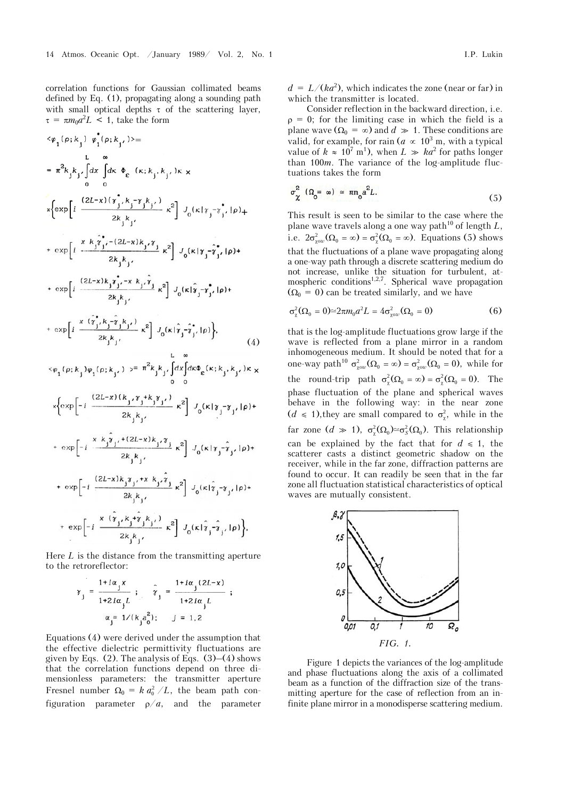correlation functions for Gaussian collimated beams defined by Eq. (1), propagating along a sounding path with small optical depths  $\tau$  of the scattering layer,  $\tau = \pi m_0 a^2 L$  < 1, take the form

$$
\langle \varphi_{1}(\rho; k_{j}) \varphi_{1}(\rho; k_{j'}) \rangle =
$$
\n
$$
\int_{\alpha}^{\alpha} \int_{\alpha} dx \int_{\alpha} dx \Phi_{\epsilon}(\kappa; k_{j}, k_{j'}) \kappa \times
$$
\n
$$
\int_{\alpha}^{\alpha} \int_{\alpha} dx \Phi_{\epsilon}(\kappa; k_{j}, k_{j'}) \kappa \times
$$
\n
$$
\int_{\alpha}^{\alpha} \frac{(2L-x)(\gamma_{j}^{*}, k_{j}^{*}, \gamma_{j}^{*}, k_{j'})}{2k_{j}k_{j}} k^{2} \int_{\alpha}^{\alpha} (\kappa | \gamma_{j}^{*}, \gamma_{j}^{*}, | \rho) + \exp\left[i \frac{(2L-x)(\gamma_{j}^{*}, k_{j}^{*}, \gamma_{j}^{*}, k_{j'})}{2k_{j}k_{j}} - (2L-x)k_{j}k_{j}^{*}, k_{j'}^{*}\right] J_{0}(\kappa | \gamma_{j}^{*}, \gamma_{j}^{*}, | \rho) + \exp\left[i \frac{(2L-x)k_{j}k_{j}^{*}, -x k_{j} \gamma_{j}^{*}}{2k_{j}k_{j}} - x^{2}\right] J_{0}(\kappa | \gamma_{j}^{*}, \gamma_{j}^{*}, | \rho) + \exp\left[i \frac{x(\gamma_{j}^{*}, k_{j}^{*}, \gamma_{j}^{*}, k_{j'})}{2k_{j}k_{j}} - x^{2}\right] J_{0}(\kappa | \gamma_{j}^{*}, \gamma_{j}^{*}, | \rho) \right],
$$
\n
$$
\langle \varphi_{1}(\rho; k_{j}) \varphi_{1}(\rho; k_{j'}) \rangle = \pi^{2}k_{j}k_{j} \int_{\alpha}^{\alpha} dx \int_{\alpha}^{\alpha} dx \varphi_{\epsilon}(\kappa; k_{j}, k_{j'}) \kappa \times
$$
\n
$$
\int_{\alpha}^{\alpha} \exp\left[-i \frac{(2L-x)(k_{j}, \gamma_{j}^{*} + k_{j} \gamma_{j'})}{2k_{j}k_{j}} - x^{2}\right] J_{0}(\kappa | \gamma_{j}^{*}, \gamma_{j}^{*}, | \rho) + \exp\left[-i \frac{(2L-x)k_{j}k_{j} \gamma_{j} + x k_{j} \gamma_{j}^{*}}{2k_{j}k_{j}} - x^{
$$

Here *L* is the distance from the transmitting aperture to the retroreflector:

$$
\gamma_{j} = \frac{1 + i\alpha_{j} x}{1 + 2i\alpha_{j} L} ; \quad \hat{\gamma}_{j} = \frac{1 + i\alpha_{j} (2L - x)}{1 + 2i\alpha_{j} L}
$$

$$
\alpha_{j} = 1 / (k_{j} a_{0}^{2}) ; \quad j = 1, 2
$$

Equations (4) were derived under the assumption that the effective dielectric permittivity fluctuations are given by Eqs.  $(2)$ . The analysis of Eqs.  $(3)–(4)$  shows that the correlation functions depend on three dimensionless parameters: the transmitter aperture Fresnel number  $\Omega_0 = k a_0^2 / L$ , the beam path configuration parameter  $\rho/a$ , and the parameter  $d = L/(ka^2)$ , which indicates the zone (near or far) in which the transmitter is located.

Consider reflection in the backward direction, i.e.  $p = 0$ ; for the limiting case in which the field is a plane wave  $(Q_0 = \infty)$  and  $d \gg 1$ . These conditions are valid, for example, for rain ( $a \propto 10^3$  m, with a typical value of  $k \approx 10^7 \text{ m}^1$ , when  $L \gg ka^2$  for paths longer than 100*m*. The variance of the log-amplitude fluctuations takes the form

$$
\sigma_{\chi}^{2} \left( \Omega_{0} = \omega \right) \simeq \pi m_{0} a^{2} L. \tag{5}
$$

This result is seen to be similar to the case where the plane wave travels along a one way path<sup>10</sup> of length  $L$ , i.e.  $2\sigma_{\text{row}}^2(\Omega_0 = \infty) = \sigma_{\text{g}}^2(\Omega_0 = \infty)$ . Equations (5) shows that the fluctuations of a plane wave propagating along a one-way path through a discrete scattering medium do not increase, unlike the situation for turbulent, atmospheric conditions<sup>1,2,7</sup>. Spherical wave propagation  $(Q_0 = 0)$  can be treated similarly, and we have

$$
\sigma_{\chi}^{2}(\Omega_{0} = 0) \approx 2\pi m_{0} a^{2} L = 4\sigma_{\chi\circ\omega}^{2}(\Omega_{0} = 0)
$$
 (6)

that is the log-amplitude fluctuations grow large if the wave is reflected from a plane mirror in a random inhomogeneous medium. It should be noted that for a one-way path<sup>10</sup>  $\sigma_{\text{row}}^2(\Omega_0 = \infty) = \sigma_{\text{row}}^2(\Omega_0 = 0)$ , while for the round-trip path  $\sigma_{\chi}^2(\Omega_0 = \infty) = \sigma_{\chi}^2(\Omega_0 = 0)$ . The phase fluctuation of the plane and spherical waves behave in the following way: in the near zone  $(d \le 1)$ , they are small compared to  $\sigma_{\chi}^2$ , while in the far zone  $(d \gg 1)$ ,  $\sigma_{\chi}^2(\Omega_0) \simeq \sigma_S^2(\Omega_0)$ . This relationship can be explained by the fact that for  $d \le 1$ , the scatterer casts a distinct geometric shadow on the receiver, while in the far zone, diffraction patterns are found to occur. It can readily be seen that in the far zone all fluctuation statistical characteristics of optical waves are mutually consistent.



Figure 1 depicts the variances of the log-amplitude and phase fluctuations along the axis of a collimated beam as a function of the diffraction size of the transmitting aperture for the case of reflection from an infinite plane mirror in a monodisperse scattering medium.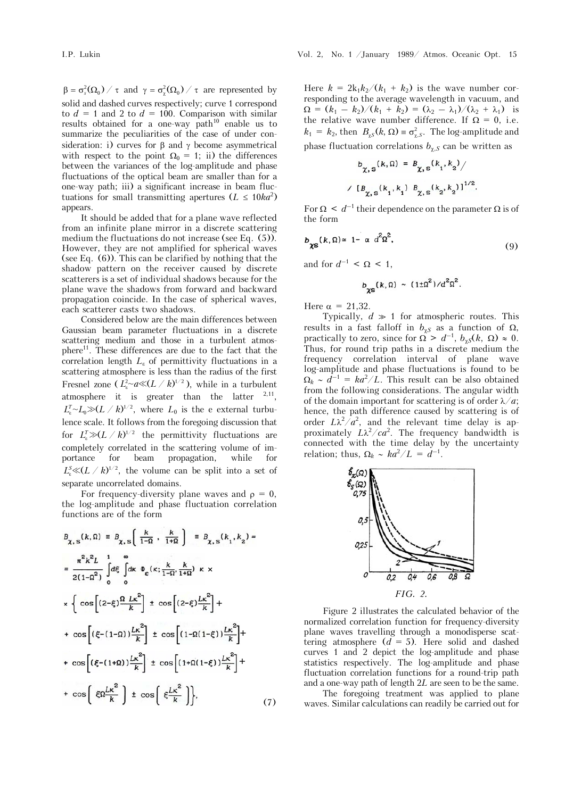$\beta = \sigma_s^2(\Omega_0) / \tau$  and  $\gamma = \sigma_\chi^2(\Omega_0) / \tau$  are represented by solid and dashed curves respectively; curve 1 correspond to  $d = 1$  and 2 to  $d = 100$ . Comparison with similar results obtained for a one-way  $path^{10}$  enable us to summarize the peculiarities of the case of under consideration: i) curves for  $\beta$  and  $\gamma$  become asymmetrical with respect to the point  $\Omega_0 = 1$ ; ii) the differences between the variances of the log-amplitude and phase fluctuations of the optical beam are smaller than for a one-way path; iii) a significant increase in beam fluctuations for small transmitting apertures  $(L \leq 10ka^2)$ appears.

It should be added that for a plane wave reflected from an infinite plane mirror in a discrete scattering medium the fluctuations do not increase (see Eq. (5)). However, they are not amplified for spherical waves (see Eq. (6)). This can be clarified by nothing that the shadow pattern on the receiver caused by discrete scatterers is a set of individual shadows because for the plane wave the shadows from forward and backward propagation coincide. In the case of spherical waves, each scatterer casts two shadows.

Considered below are the main differences between Gaussian beam parameter fluctuations in a discrete scattering medium and those in a turbulent atmosphere<sup>11</sup>. These differences are due to the fact that the correlation length  $L_{\varepsilon}$  of permittivity fluctuations in a scattering atmosphere is less than the radius of the first Fresnel zone ( $L<sub>k</sub><sup>2</sup>~a \ll (L / k)^{1/2}$ ), while in a turbulent atmosphere it is greater than the latter  $2,11$ ,  $L_{\varepsilon}^{T} {\sim} L_{0}{\gg} (L\; /\;k)^{1/2},$  where  $L_{0}$  is the e-external turbulence scale. It follows from the foregoing discussion that for  $L^T_* \gg (L \;/\; k)^{1/2}$  the permittivity fluctuations are completely correlated in the scattering volume of importance for beam propagation, while for  $L_{\rm s}^{\rm s} \ll (L \; / \; k)^{1/2}$ , the volume can be split into a set of separate uncorrelated domains.

For frequency-diversity plane waves and  $\rho = 0$ , the log-amplitude and phase fluctuation correlation functions are of the form

$$
B_{\chi, s}(k, \Omega) = B_{\chi, s}\left[\frac{k}{1-\Omega} \cdot \frac{k}{1+\Omega}\right] = B_{\chi, s}(k_1, k_2) =
$$
  
\n
$$
= \frac{\pi^2 k^2 L}{2(1-\Omega^2)} \int_{0}^{\infty} d\xi \int_{0}^{R} dx \Phi_{\varepsilon}(\kappa; \frac{k}{1-\Omega}, \frac{k}{1+\Omega}) \kappa \times
$$
  
\n
$$
\times \left\{ \cos\left[(2-\xi)\frac{\Omega L\kappa^2}{k}\right] \pm \cos\left[(2-\xi)\frac{L\kappa^2}{k}\right] +
$$
  
\n
$$
+ \cos\left[(\xi-(1-\Omega))\frac{L\kappa^2}{k}\right] \pm \cos\left[(1-\Omega(1-\xi))\frac{L\kappa^2}{k}\right] +
$$
  
\n
$$
+ \cos\left[(\xi-(1+\Omega))\frac{L\kappa^2}{k}\right] \pm \cos\left[(1+\Omega(1-\xi))\frac{L\kappa^2}{k}\right] +
$$
  
\n
$$
+ \cos\left[\xi \Omega \frac{L\kappa^2}{k}\right] \pm \cos\left[\xi \frac{L\kappa^2}{k}\right], \qquad (7)
$$

Here  $k = 2k_1k_2/(k_1 + k_2)$  is the wave number corresponding to the average wavelength in vacuum, and  $\Omega = (k_1 - k_2)/(k_1 + k_2) = (\lambda_2 - \lambda_1)/(\lambda_2 + \lambda_1)$  is the relative wave number difference. If  $\Omega = 0$ , i.e.  $k_1 = k_2$ , then  $B_{\gamma s}(k, \Omega) = \sigma_{\gamma, s}^2$ . The log-amplitude and phase fluctuation correlations  $b_{\chi,s}$  can be written as

$$
b_{\chi, \mathbf{s}}(k, \Omega) = B_{\chi, \mathbf{s}}(k_1, k_2) / \sqrt{[B_{\chi, \mathbf{s}}(k_1, k_1) B_{\chi, \mathbf{s}}(k_2, k_2)]^{1/2}}.
$$

For  $\Omega \leq d^{-1}$  their dependence on the parameter  $\Omega$  is of the form

$$
b_{\chi S}(k,\Omega) \approx 1 - \alpha d^2 \Omega^2, \tag{9}
$$

and for  $d^{-1} < \Omega < 1$ .

$$
b_{\infty}(k,\Omega) \sim (1\pm\Omega^2)/d^2\Omega^2.
$$

Here  $\alpha = 21,32$ .

Typically,  $d \gg 1$  for atmospheric routes. This results in a fast falloff in  $b_{\gamma S}$  as a function of  $\Omega$ , practically to zero, since for  $\Omega > d^{-1}$ ,  $b_{\gamma S}(k, \Omega) \approx 0$ . Thus, for round trip paths in a discrete medium the frequency correlation interval of plane wave log-amplitude and phase fluctuations is found to be  $\Omega_k \sim d^{-1} = ka^2/L$ . This result can be also obtained from the following considerations. The angular width of the domain important for scattering is of order  $\lambda/a$ ; hence, the path difference caused by scattering is of order  $L\lambda^2/a^2$ , and the relevant time delay is approximately  $L\lambda^2/ca^2$ . The frequency bandwidth is connected with the time delay by the uncertainty relation; thus,  $\Omega_k \sim ka^2/L = d^{-1}$ .



Figure 2 illustrates the calculated behavior of the normalized correlation function for frequency-diversity plane waves travelling through a monodisperse scattering atmosphere  $(d = 5)$ . Here solid and dashed curves 1 and 2 depict the log-amplitude and phase statistics respectively. The log-amplitude and phase fluctuation correlation functions for a round-trip path and a one-way path of length 2*L* are seen to be the same.

The foregoing treatment was applied to plane waves. Similar calculations can readily be carried out for